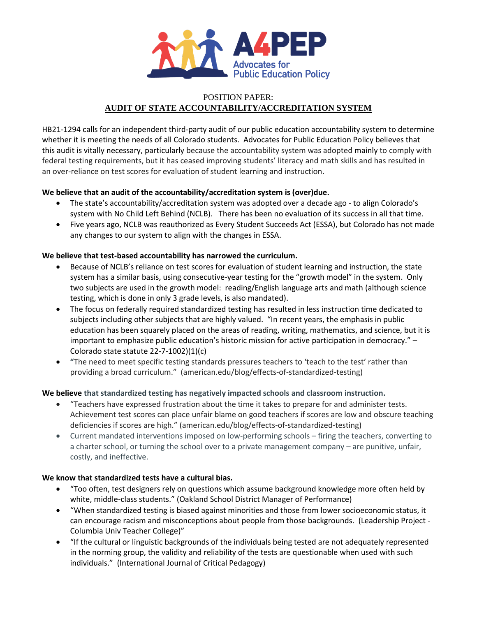

# POSITION PAPER: **AUDIT OF STATE ACCOUNTABILITY/ACCREDITATION SYSTEM**

HB21-1294 calls for an independent third-party audit of our public education accountability system to determine whether it is meeting the needs of all Colorado students. Advocates for Public Education Policy believes that this audit is vitally necessary, particularly because the accountability system was adopted mainly to comply with federal testing requirements, but it has ceased improving students' literacy and math skills and has resulted in an over-reliance on test scores for evaluation of student learning and instruction.

# **We believe that an audit of the accountability/accreditation system is (over)due.**

- The state's accountability/accreditation system was adopted over a decade ago to align Colorado's system with No Child Left Behind (NCLB). There has been no evaluation of its success in all that time.
- Five years ago, NCLB was reauthorized as Every Student Succeeds Act (ESSA), but Colorado has not made any changes to our system to align with the changes in ESSA.

### **We believe that test-based accountability has narrowed the curriculum.**

- Because of NCLB's reliance on test scores for evaluation of student learning and instruction, the state system has a similar basis, using consecutive-year testing for the "growth model" in the system. Only two subjects are used in the growth model: reading/English language arts and math (although science testing, which is done in only 3 grade levels, is also mandated).
- The focus on federally required standardized testing has resulted in less instruction time dedicated to subjects including other subjects that are highly valued. "In recent years, the emphasis in public education has been squarely placed on the areas of reading, writing, mathematics, and science, but it is important to emphasize public education's historic mission for active participation in democracy." – Colorado state statute 22-7-1002)(1)(c)
- **"**The need to meet specific testing standards pressures teachers to 'teach to the test' rather than providing a broad curriculum." (american.edu/blog/effects-of-standardized-testing)

### **We believe that standardized testing has negatively impacted schools and classroom instruction.**

- "Teachers have expressed frustration about the time it takes to prepare for and administer tests. Achievement test scores can place unfair blame on good teachers if scores are low and obscure teaching deficiencies if scores are high." (american.edu/blog/effects-of-standardized-testing)
- Current mandated interventions imposed on low-performing schools firing the teachers, converting to a charter school, or turning the school over to a private management company – are punitive, unfair, costly, and ineffective.

### **We know that standardized tests have a cultural bias.**

- "Too often, test designers rely on questions which assume background knowledge more often held by white, middle-class students." (Oakland School District Manager of Performance)
- "When standardized testing is biased against minorities and those from lower socioeconomic status, it can encourage racism and misconceptions about people from those backgrounds. (Leadership Project - Columbia Univ Teacher College)"
- "If the cultural or linguistic backgrounds of the individuals being tested are not adequately represented in the norming group, the validity and reliability of the tests are questionable when used with such individuals." (International Journal of Critical Pedagogy)